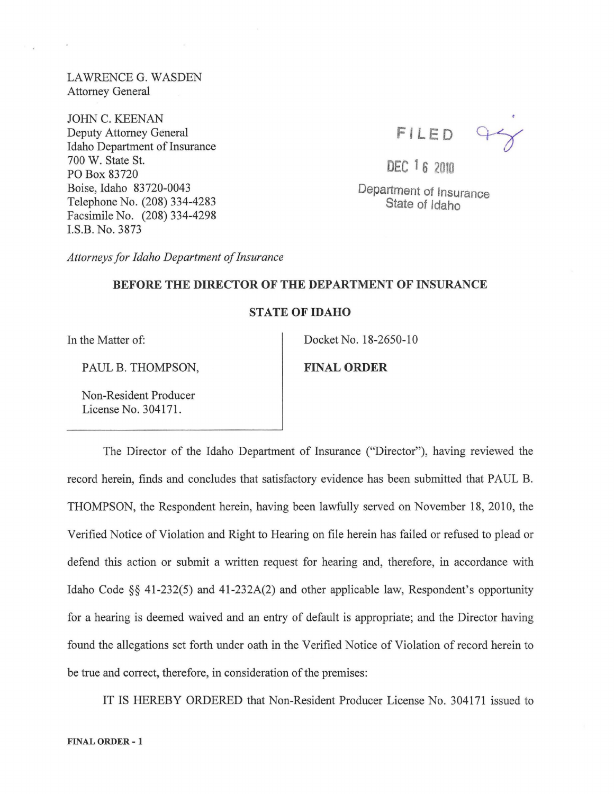LA WRENCE G. WASDEN Attorney General

JOHN C. KEENAN Deputy Attorney General Idaho Department of Insurance 700 W. State St. PO Box 83720 Boise, Idaho 83720-0043 Telephone No. (208) 334-4283 Facsimile No. (208) 334-4298 I.S.B. No. 3873

 $47$ FILE D

DEC 16 2010

Department of Insurance State of Idaho

*Attorneys for Idaho Department of Insurance* 

## BEFORE THE DIRECTOR OF THE DEPARTMENT OF INSURANCE

## STATE OF IDAHO

In the Matter of:

PAUL B. THOMPSON,

Non-Resident Producer License No. 304171.

Docket No. 18-2650-10

FINAL ORDER

The Director of the Idaho Department of Insurance ("Director"), having reviewed the record herein, finds and concludes that satisfactory evidence has been submitted that PAUL B. THOMPSON, the Respondent herein, having been lawfully served on November 18, 2010, the Verified Notice of Violation and Right to Hearing on file herein has failed or refused to plead or defend this action or submit a written request for hearing and, therefore, in accordance with Idaho Code §§ 41-232(5) and 41-232A(2) and other applicable law, Respondent's opportunity for a hearing is deemed waived and an entry of default is appropriate; and the Director having found the allegations set forth under oath in the Verified Notice of Violation of record herein to be true and correct, therefore, in consideration of the premises:

IT IS HEREBY ORDERED that Non-Resident Producer License No. 304171 issued to